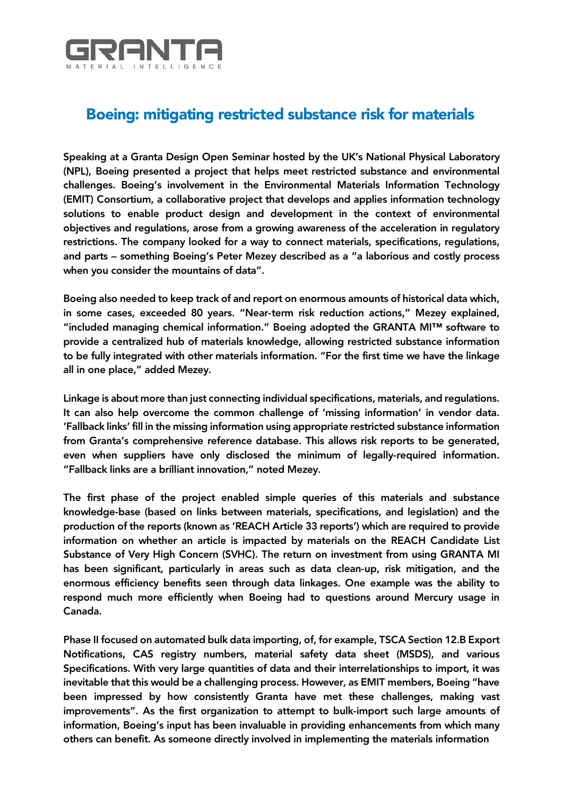

## Boeing: mitigating restricted substance risk for materials

Speaking at a Granta Design Open Seminar hosted by the UK's National Physical Laboratory (NPL), Boeing presented a project that helps meet restricted substance and environmental challenges. Boeing's involvement in the Environmental Materials Information Technology (EMIT) Consortium, a collaborative project that develops and applies information technology solutions to enable product design and development in the context of environmental objectives and regulations, arose from a growing awareness of the acceleration in regulatory restrictions. The company looked for a way to connect materials, specifications, regulations, and parts – something Boeing's Peter Mezey described as a "a laborious and costly process when you consider the mountains of data".

Boeing also needed to keep track of and report on enormous amounts of historical data which, in some cases, exceeded 80 years. "Near-term risk reduction actions," Mezey explained, "included managing chemical information." Boeing adopted the GRANTA MI™ software to provide a centralized hub of materials knowledge, allowing restricted substance information to be fully integrated with other materials information. "For the first time we have the linkage all in one place," added Mezey.

Linkage is about more than just connecting individual specifications, materials, and regulations. It can also help overcome the common challenge of 'missing information' in vendor data. 'Fallback links' fill in the missing information using appropriate restricted substance information from Granta's comprehensive reference database. This allows risk reports to be generated, even when suppliers have only disclosed the minimum of legally-required information. "Fallback links are a brilliant innovation," noted Mezey.

The first phase of the project enabled simple queries of this materials and substance knowledge-base (based on links between materials, specifications, and legislation) and the production of the reports (known as 'REACH Article 33 reports') which are required to provide information on whether an article is impacted by materials on the REACH Candidate List Substance of Very High Concern (SVHC). The return on investment from using GRANTA MI has been significant, particularly in areas such as data clean-up, risk mitigation, and the enormous efficiency benefits seen through data linkages. One example was the ability to respond much more efficiently when Boeing had to questions around Mercury usage in Canada.

Phase II focused on automated bulk data importing, of, for example, TSCA Section 12.B Export Notifications, CAS registry numbers, material safety data sheet (MSDS), and various Specifications. With very large quantities of data and their interrelationships to import, it was inevitable that this would be a challenging process. However, as EMIT members, Boeing "have been impressed by how consistently Granta have met these challenges, making vast improvements". As the first organization to attempt to bulk-import such large amounts of information, Boeing's input has been invaluable in providing enhancements from which many others can benefit. As someone directly involved in implementing the materials information